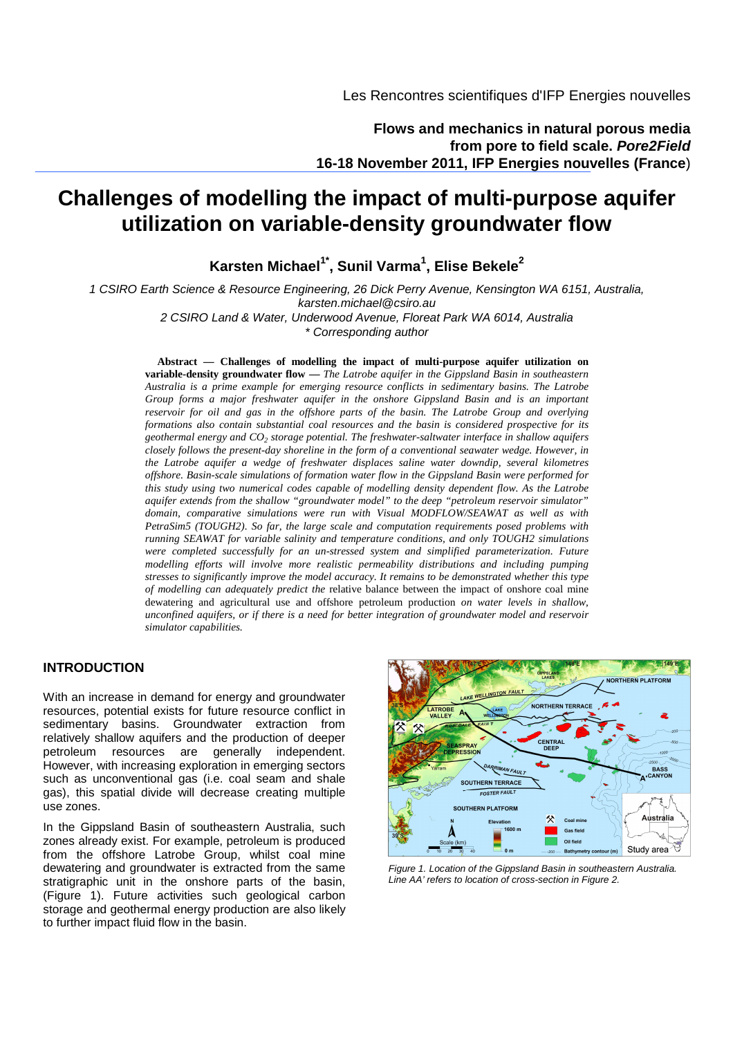**Flows and mechanics in natural porous media from pore to field scale. Pore2Field 16-18 November 2011, IFP Energies nouvelles (France**)

# **Challenges of modelling the impact of multi-purpose aquifer utilization on variable-density groundwater flow**

**Karsten Michael1\*, Sunil Varma<sup>1</sup> , Elise Bekele<sup>2</sup>**

1 CSIRO Earth Science & Resource Engineering, 26 Dick Perry Avenue, Kensington WA 6151, Australia, karsten.michael@csiro.au

> 2 CSIRO Land & Water, Underwood Avenue, Floreat Park WA 6014, Australia \* Corresponding author

**Abstract — Challenges of modelling the impact of multi-purpose aquifer utilization on variable-density groundwater flow —** *The Latrobe aquifer in the Gippsland Basin in southeastern Australia is a prime example for emerging resource conflicts in sedimentary basins. The Latrobe Group forms a major freshwater aquifer in the onshore Gippsland Basin and is an important reservoir for oil and gas in the offshore parts of the basin. The Latrobe Group and overlying formations also contain substantial coal resources and the basin is considered prospective for its geothermal energy and CO<sup>2</sup> storage potential. The freshwater-saltwater interface in shallow aquifers closely follows the present-day shoreline in the form of a conventional seawater wedge. However, in the Latrobe aquifer a wedge of freshwater displaces saline water downdip, several kilometres offshore. Basin-scale simulations of formation water flow in the Gippsland Basin were performed for this study using two numerical codes capable of modelling density dependent flow. As the Latrobe aquifer extends from the shallow "groundwater model" to the deep "petroleum reservoir simulator" domain, comparative simulations were run with Visual MODFLOW/SEAWAT as well as with PetraSim5 (TOUGH2). So far, the large scale and computation requirements posed problems with running SEAWAT for variable salinity and temperature conditions, and only TOUGH2 simulations were completed successfully for an un-stressed system and simplified parameterization. Future modelling efforts will involve more realistic permeability distributions and including pumping stresses to significantly improve the model accuracy. It remains to be demonstrated whether this type of modelling can adequately predict the* relative balance between the impact of onshore coal mine dewatering and agricultural use and offshore petroleum production *on water levels in shallow, unconfined aquifers, or if there is a need for better integration of groundwater model and reservoir simulator capabilities.* 

## **INTRODUCTION**

With an increase in demand for energy and groundwater resources, potential exists for future resource conflict in sedimentary basins. Groundwater extraction from relatively shallow aquifers and the production of deeper petroleum resources are generally independent. However, with increasing exploration in emerging sectors such as unconventional gas (i.e. coal seam and shale gas), this spatial divide will decrease creating multiple use zones.

In the Gippsland Basin of southeastern Australia, such zones already exist. For example, petroleum is produced from the offshore Latrobe Group, whilst coal mine dewatering and groundwater is extracted from the same stratigraphic unit in the onshore parts of the basin. (Figure 1). Future activities such geological carbon storage and geothermal energy production are also likely to further impact fluid flow in the basin.



Figure 1. Location of the Gippsland Basin in southeastern Australia. Line AA' refers to location of cross-section in Figure 2.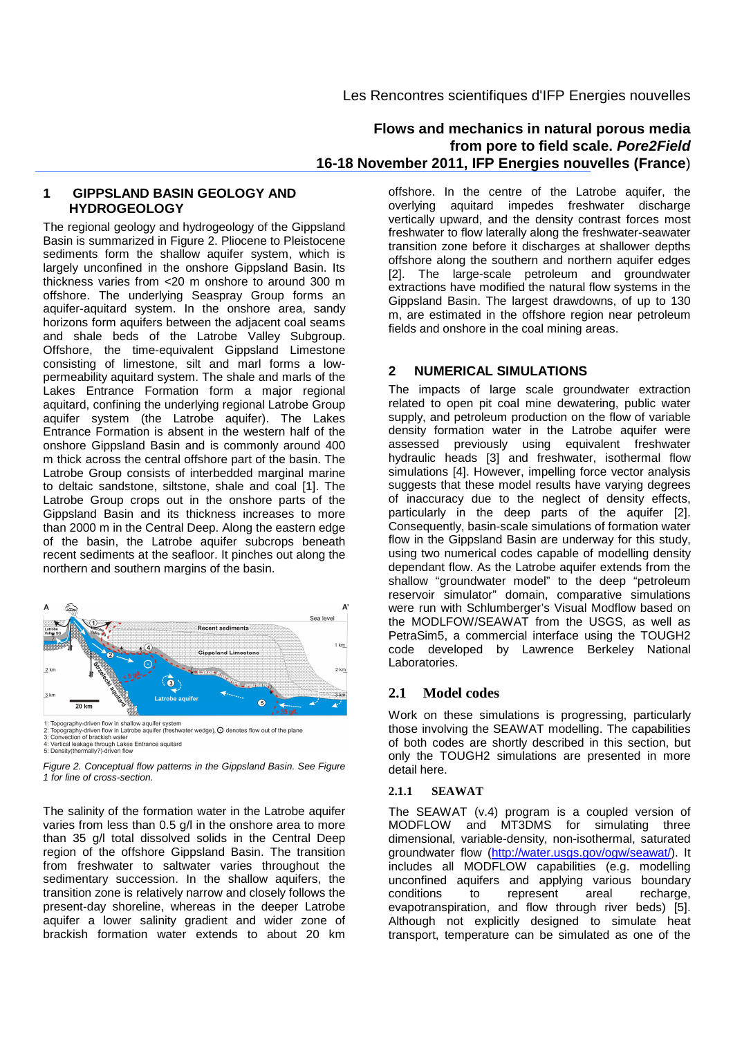## **Flows and mechanics in natural porous media from pore to field scale. Pore2Field 16-18 November 2011, IFP Energies nouvelles (France**)

## **1 GIPPSLAND BASIN GEOLOGY AND HYDROGEOLOGY**

The regional geology and hydrogeology of the Gippsland Basin is summarized in Figure 2. Pliocene to Pleistocene sediments form the shallow aquifer system, which is largely unconfined in the onshore Gippsland Basin. Its thickness varies from <20 m onshore to around 300 m offshore. The underlying Seaspray Group forms an aquifer-aquitard system. In the onshore area, sandy horizons form aquifers between the adjacent coal seams and shale beds of the Latrobe Valley Subgroup. Offshore, the time-equivalent Gippsland Limestone consisting of limestone, silt and marl forms a lowpermeability aquitard system. The shale and marls of the Lakes Entrance Formation form a major regional aquitard, confining the underlying regional Latrobe Group aquifer system (the Latrobe aquifer). The Lakes Entrance Formation is absent in the western half of the onshore Gippsland Basin and is commonly around 400 m thick across the central offshore part of the basin. The Latrobe Group consists of interbedded marginal marine to deltaic sandstone, siltstone, shale and coal [1]. The Latrobe Group crops out in the onshore parts of the Gippsland Basin and its thickness increases to more than 2000 m in the Central Deep. Along the eastern edge of the basin, the Latrobe aquifer subcrops beneath recent sediments at the seafloor. It pinches out along the northern and southern margins of the basin.



1: Topography-driven flow in shallow aquifer system<br>2: Topography-driven flow in Latrobe aquifer (freshwater wedge),  $\bigcirc$  denotes flow out of the plane<br>3: Convection of brackish water<br>4: Vertical leakage through Lakes En

Figure 2. Conceptual flow patterns in the Gippsland Basin. See Figure 1 for line of cross-section.

The salinity of the formation water in the Latrobe aquifer varies from less than 0.5 g/l in the onshore area to more than 35 g/l total dissolved solids in the Central Deep region of the offshore Gippsland Basin. The transition from freshwater to saltwater varies throughout the sedimentary succession. In the shallow aquifers, the transition zone is relatively narrow and closely follows the present-day shoreline, whereas in the deeper Latrobe aquifer a lower salinity gradient and wider zone of brackish formation water extends to about 20 km

offshore. In the centre of the Latrobe aquifer, the overlying aquitard impedes freshwater discharge vertically upward, and the density contrast forces most freshwater to flow laterally along the freshwater-seawater transition zone before it discharges at shallower depths offshore along the southern and northern aquifer edges [2]. The large-scale petroleum and groundwater extractions have modified the natural flow systems in the Gippsland Basin. The largest drawdowns, of up to 130 m, are estimated in the offshore region near petroleum fields and onshore in the coal mining areas.

## **2 NUMERICAL SIMULATIONS**

The impacts of large scale groundwater extraction related to open pit coal mine dewatering, public water supply, and petroleum production on the flow of variable density formation water in the Latrobe aquifer were assessed previously using equivalent freshwater hydraulic heads [3] and freshwater, isothermal flow simulations [4]. However, impelling force vector analysis suggests that these model results have varying degrees of inaccuracy due to the neglect of density effects, particularly in the deep parts of the aquifer [2]. Consequently, basin-scale simulations of formation water flow in the Gippsland Basin are underway for this study, using two numerical codes capable of modelling density dependant flow. As the Latrobe aquifer extends from the shallow "groundwater model" to the deep "petroleum reservoir simulator" domain, comparative simulations were run with Schlumberger's Visual Modflow based on the MODLFOW/SEAWAT from the USGS, as well as PetraSim5, a commercial interface using the TOUGH2 code developed by Lawrence Berkeley National Laboratories.

## **2.1 Model codes**

Work on these simulations is progressing, particularly those involving the SEAWAT modelling. The capabilities of both codes are shortly described in this section, but only the TOUGH2 simulations are presented in more detail here.

#### **2.1.1 SEAWAT**

The SEAWAT (v.4) program is a coupled version of MODFLOW and MT3DMS for simulating three dimensional, variable-density, non-isothermal, saturated groundwater flow (http://water.usgs.gov/ogw/seawat/). It includes all MODFLOW capabilities (e.g. modelling unconfined aquifers and applying various boundary conditions to represent areal recharge, evapotranspiration, and flow through river beds) [5]. Although not explicitly designed to simulate heat transport, temperature can be simulated as one of the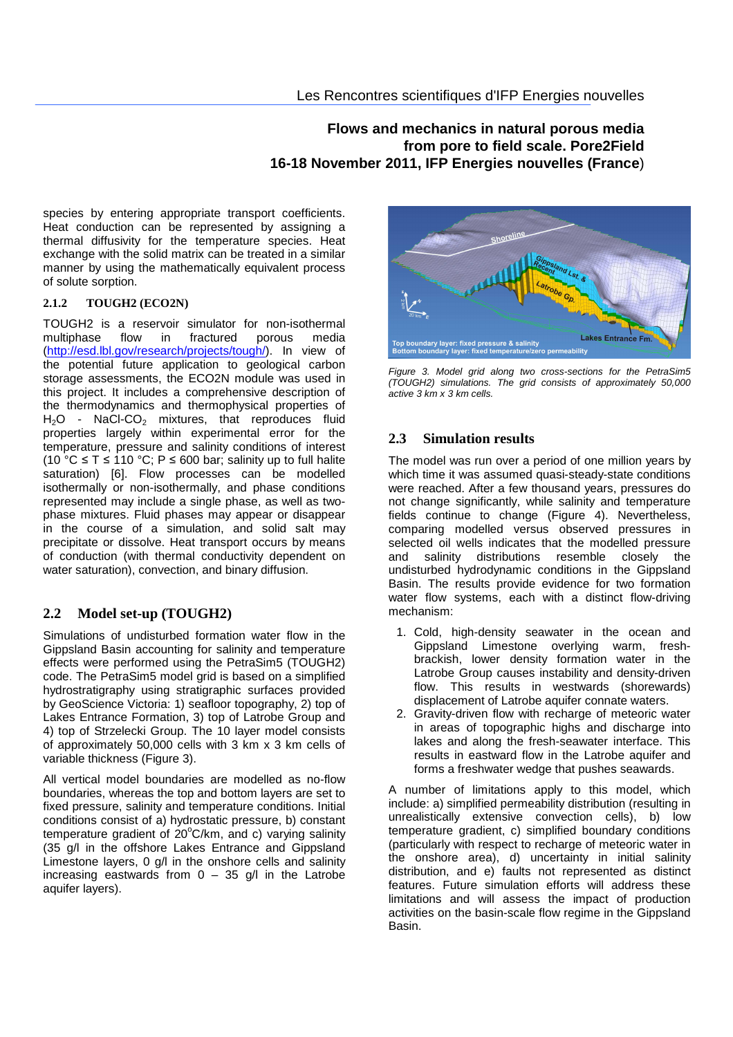# **Flows and mechanics in natural porous media from pore to field scale. Pore2Field 16-18 November 2011, IFP Energies nouvelles (France**)

species by entering appropriate transport coefficients. Heat conduction can be represented by assigning a thermal diffusivity for the temperature species. Heat exchange with the solid matrix can be treated in a similar manner by using the mathematically equivalent process of solute sorption.

#### **2.1.2 TOUGH2 (ECO2N)**

TOUGH2 is a reservoir simulator for non-isothermal multiphase flow in fractured porous media (http://esd.lbl.gov/research/projects/tough/). In view of the potential future application to geological carbon storage assessments, the ECO2N module was used in this project. It includes a comprehensive description of the thermodynamics and thermophysical properties of H<sub>2</sub>O - NaCl-CO<sub>2</sub> mixtures, that reproduces fluid properties largely within experimental error for the temperature, pressure and salinity conditions of interest (10 °C  $\leq$  T  $\leq$  110 °C; P  $\leq$  600 bar; salinity up to full halite saturation) [6]. Flow processes can be modelled isothermally or non-isothermally, and phase conditions represented may include a single phase, as well as twophase mixtures. Fluid phases may appear or disappear in the course of a simulation, and solid salt may precipitate or dissolve. Heat transport occurs by means of conduction (with thermal conductivity dependent on water saturation), convection, and binary diffusion.

#### **2.2 Model set-up (TOUGH2)**

Simulations of undisturbed formation water flow in the Gippsland Basin accounting for salinity and temperature effects were performed using the PetraSim5 (TOUGH2) code. The PetraSim5 model grid is based on a simplified hydrostratigraphy using stratigraphic surfaces provided by GeoScience Victoria: 1) seafloor topography, 2) top of Lakes Entrance Formation, 3) top of Latrobe Group and 4) top of Strzelecki Group. The 10 layer model consists of approximately 50,000 cells with 3 km x 3 km cells of variable thickness (Figure 3).

All vertical model boundaries are modelled as no-flow boundaries, whereas the top and bottom layers are set to fixed pressure, salinity and temperature conditions. Initial conditions consist of a) hydrostatic pressure, b) constant temperature gradient of  $20^{\circ}$ C/km, and c) varying salinity (35 g/l in the offshore Lakes Entrance and Gippsland Limestone layers, 0 g/l in the onshore cells and salinity increasing eastwards from  $0 - 35$  g/l in the Latrobe aquifer layers).



Figure 3. Model grid along two cross-sections for the PetraSim5 (TOUGH2) simulations. The grid consists of approximately 50,000 active 3 km x 3 km cells.

#### **2.3 Simulation results**

The model was run over a period of one million years by which time it was assumed quasi-steady-state conditions were reached. After a few thousand years, pressures do not change significantly, while salinity and temperature fields continue to change (Figure 4). Nevertheless, comparing modelled versus observed pressures in selected oil wells indicates that the modelled pressure and salinity distributions resemble closely the undisturbed hydrodynamic conditions in the Gippsland Basin. The results provide evidence for two formation water flow systems, each with a distinct flow-driving mechanism:

- 1. Cold, high-density seawater in the ocean and Gippsland Limestone overlying warm, freshbrackish, lower density formation water in the Latrobe Group causes instability and density-driven flow. This results in westwards (shorewards) displacement of Latrobe aquifer connate waters.
- 2. Gravity-driven flow with recharge of meteoric water in areas of topographic highs and discharge into lakes and along the fresh-seawater interface. This results in eastward flow in the Latrobe aquifer and forms a freshwater wedge that pushes seawards.

A number of limitations apply to this model, which include: a) simplified permeability distribution (resulting in unrealistically extensive convection cells), b) low temperature gradient, c) simplified boundary conditions (particularly with respect to recharge of meteoric water in the onshore area), d) uncertainty in initial salinity distribution, and e) faults not represented as distinct features. Future simulation efforts will address these limitations and will assess the impact of production activities on the basin-scale flow regime in the Gippsland Basin.